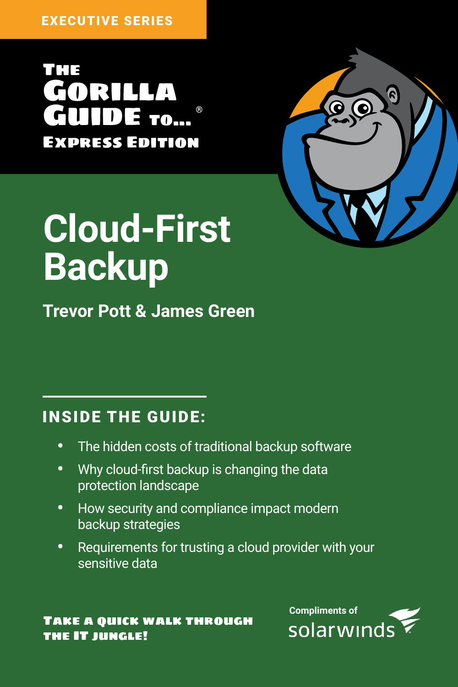The Gorilla **DE ro...** Express Edition



# **Cloud-First Backup**

**Trevor Pott & James Green** 

### INSIDE THE GUIDE:

- The hidden costs of traditional backup software
- Why cloud-first backup is changing the data protection landscape
- How security and compliance impact modern backup strategies
- Requirements for trusting a cloud provider with your sensitive data

#### Take a quick walk through the IT jungle!

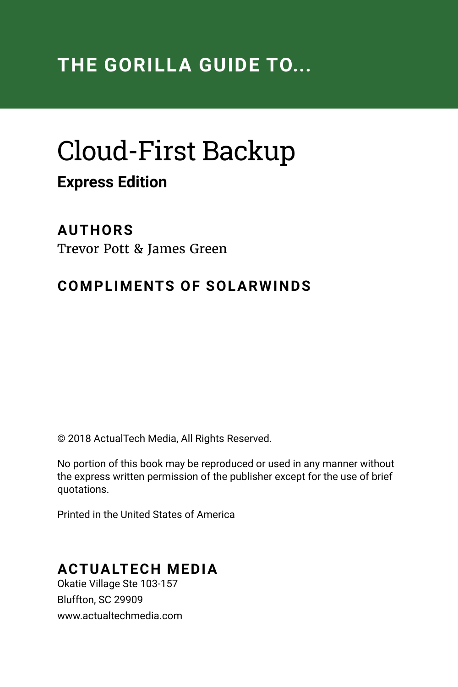# Cloud-First Backup **Express Edition**

#### **AUTHORS**

Trevor Pott & James Green

#### **COMPLIMENTS OF SOLARWINDS**

© 2018 ActualTech Media, All Rights Reserved.

No portion of this book may be reproduced or used in any manner without the express written permission of the publisher except for the use of brief quotations.

Printed in the United States of America

#### **ACTUALTECH MEDIA**

Okatie Village Ste 103-157 Bluffton, SC 29909 www.actualtechmedia.com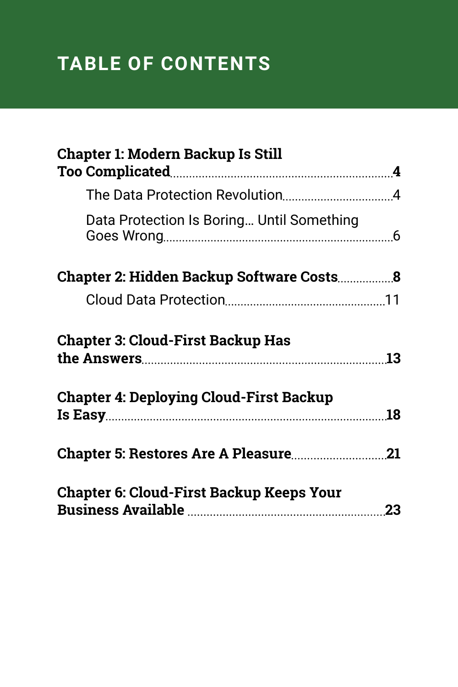### **TABLE OF CONTENTS**

| Chapter 1: Modern Backup Is Still                                                          |  |
|--------------------------------------------------------------------------------------------|--|
|                                                                                            |  |
|                                                                                            |  |
| Data Protection Is Boring Until Something                                                  |  |
| Chapter 2: Hidden Backup Software Costs8                                                   |  |
|                                                                                            |  |
| <b>Chapter 3: Cloud-First Backup Has</b><br><b>Chapter 4: Deploying Cloud-First Backup</b> |  |
|                                                                                            |  |
|                                                                                            |  |
| Chapter 6: Cloud-First Backup Keeps Your                                                   |  |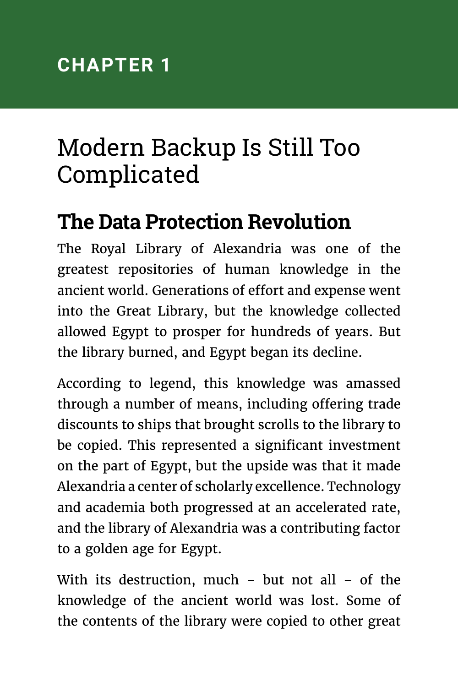# <span id="page-3-0"></span>Modern Backup Is Still Too Complicated

### **The Data Protection Revolution**

The Royal Library of Alexandria was one of the greatest repositories of human knowledge in the ancient world. Generations of effort and expense went into the Great Library, but the knowledge collected allowed Egypt to prosper for hundreds of years. But the library burned, and Egypt began its decline.

According to legend, this knowledge was amassed through a number of means, including offering trade discounts to ships that brought scrolls to the library to be copied. This represented a significant investment on the part of Egypt, but the upside was that it made Alexandria a center of scholarly excellence. Technology and academia both progressed at an accelerated rate, and the library of Alexandria was a contributing factor to a golden age for Egypt.

With its destruction, much – but not all – of the knowledge of the ancient world was lost. Some of the contents of the library were copied to other great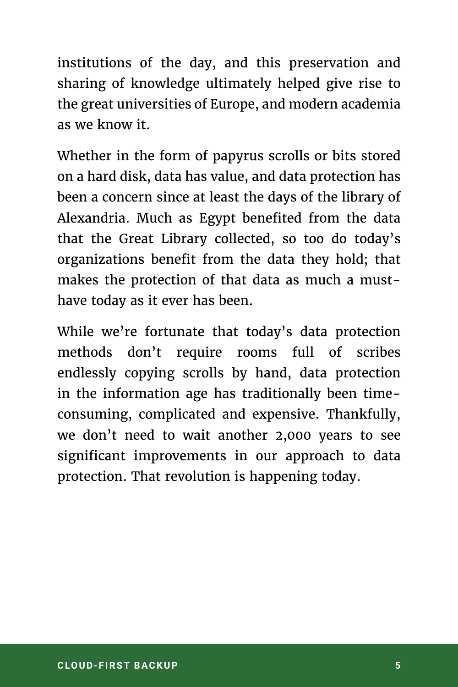institutions of the day, and this preservation and sharing of knowledge ultimately helped give rise to the great universities of Europe, and modern academia as we know it.

Whether in the form of papyrus scrolls or bits stored on a hard disk, data has value, and data protection has been a concern since at least the days of the library of Alexandria. Much as Egypt benefited from the data that the Great Library collected, so too do today's organizations benefit from the data they hold; that makes the protection of that data as much a musthave today as it ever has been.

While we're fortunate that today's data protection methods don't require rooms full of scribes endlessly copying scrolls by hand, data protection in the information age has traditionally been timeconsuming, complicated and expensive. Thankfully, we don't need to wait another 2,000 years to see significant improvements in our approach to data protection. That revolution is happening today.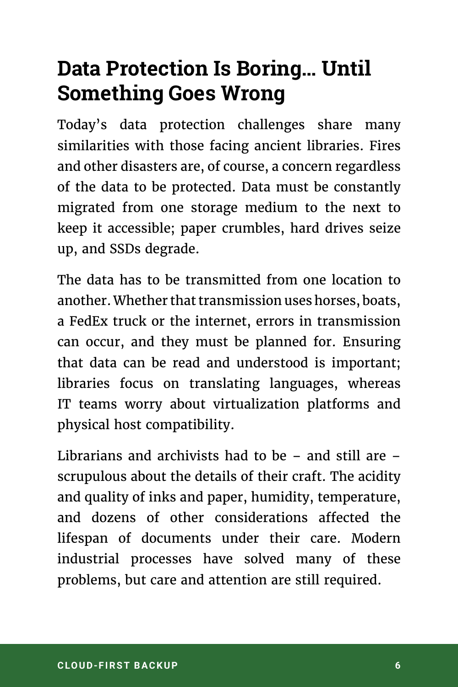### <span id="page-5-0"></span>**Data Protection Is Boring… Until Something Goes Wrong**

Today's data protection challenges share many similarities with those facing ancient libraries. Fires and other disasters are, of course, a concern regardless of the data to be protected. Data must be constantly migrated from one storage medium to the next to keep it accessible; paper crumbles, hard drives seize up, and SSDs degrade.

The data has to be transmitted from one location to another. Whether that transmission uses horses, boats, a FedEx truck or the internet, errors in transmission can occur, and they must be planned for. Ensuring that data can be read and understood is important; libraries focus on translating languages, whereas IT teams worry about virtualization platforms and physical host compatibility.

Librarians and archivists had to be – and still are – scrupulous about the details of their craft. The acidity and quality of inks and paper, humidity, temperature, and dozens of other considerations affected the lifespan of documents under their care. Modern industrial processes have solved many of these problems, but care and attention are still required.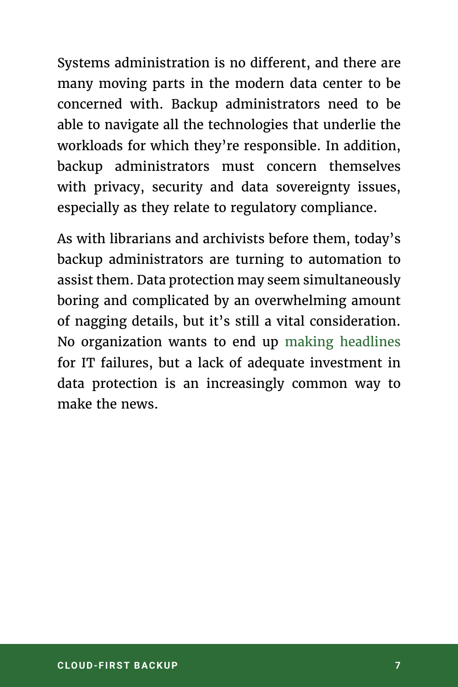Systems administration is no different, and there are many moving parts in the modern data center to be concerned with. Backup administrators need to be able to navigate all the technologies that underlie the workloads for which they're responsible. In addition, backup administrators must concern themselves with privacy, security and data sovereignty issues, especially as they relate to regulatory compliance.

As with librarians and archivists before them, today's backup administrators are turning to automation to assist them. Data protection may seem simultaneously boring and complicated by an overwhelming amount of nagging details, but it's still a vital consideration. No organization wants to end up [making headlines](https://www.computerworld.com/article/3156829/security/la-college-pays-28-000-ransom-demand-new-sophisticated-spora-ransomware.html) for IT failures, but a lack of adequate investment in data protection is an increasingly common way to make the news.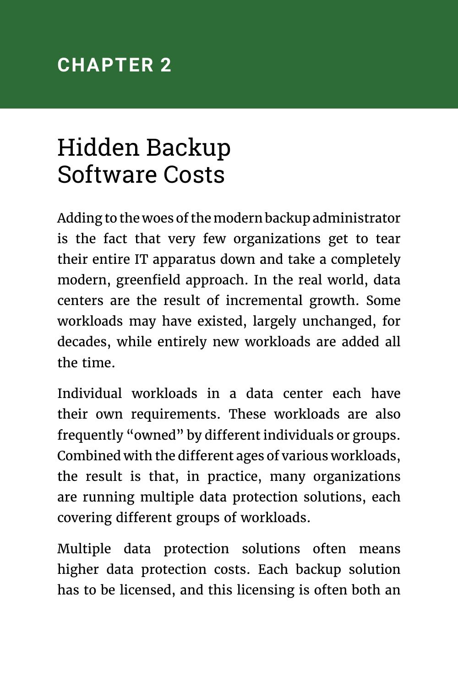### <span id="page-7-0"></span>**CHAPTER 2**

# Hidden Backup Software Costs

Adding to the woes of the modern backup administrator is the fact that very few organizations get to tear their entire IT apparatus down and take a completely modern, greenfield approach. In the real world, data centers are the result of incremental growth. Some workloads may have existed, largely unchanged, for decades, while entirely new workloads are added all the time.

Individual workloads in a data center each have their own requirements. These workloads are also frequently "owned" by different individuals or groups. Combined with the different ages of various workloads, the result is that, in practice, many organizations are running multiple data protection solutions, each covering different groups of workloads.

Multiple data protection solutions often means higher data protection costs. Each backup solution has to be licensed, and this licensing is often both an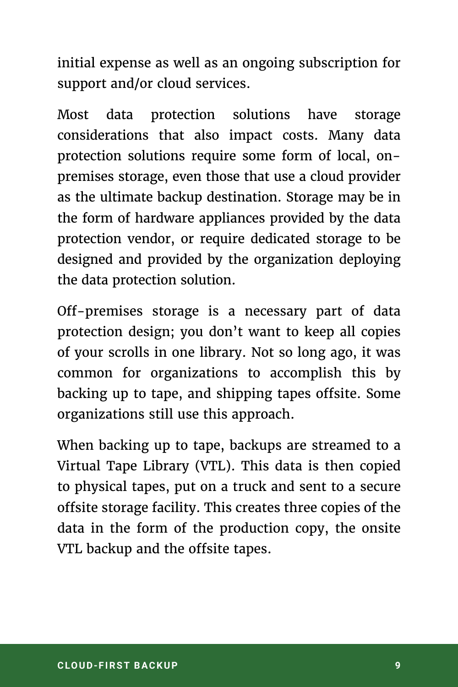initial expense as well as an ongoing subscription for support and/or cloud services.

Most data protection solutions have storage considerations that also impact costs. Many data protection solutions require some form of local, onpremises storage, even those that use a cloud provider as the ultimate backup destination. Storage may be in the form of hardware appliances provided by the data protection vendor, or require dedicated storage to be designed and provided by the organization deploying the data protection solution.

Off-premises storage is a necessary part of data protection design; you don't want to keep all copies of your scrolls in one library. Not so long ago, it was common for organizations to accomplish this by backing up to tape, and shipping tapes offsite. Some organizations still use this approach.

When backing up to tape, backups are streamed to a Virtual Tape Library (VTL). This data is then copied to physical tapes, put on a truck and sent to a secure offsite storage facility. This creates three copies of the data in the form of the production copy, the onsite VTL backup and the offsite tapes.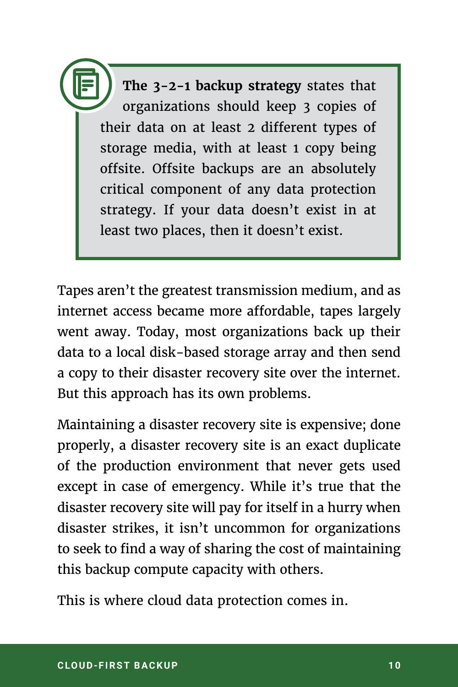**The 3-2-1 backup strategy** states that organizations should keep 3 copies of their data on at least 2 different types of storage media, with at least 1 copy being offsite. Offsite backups are an absolutely critical component of any data protection strategy. If your data doesn't exist in at least two places, then it doesn't exist.

Tapes aren't the greatest transmission medium, and as internet access became more affordable, tapes largely went away. Today, most organizations back up their data to a local disk-based storage array and then send a copy to their disaster recovery site over the internet. But this approach has its own problems.

Maintaining a disaster recovery site is expensive; done properly, a disaster recovery site is an exact duplicate of the production environment that never gets used except in case of emergency. While it's true that the disaster recovery site will pay for itself in a hurry when disaster strikes, it isn't uncommon for organizations to seek to find a way of sharing the cost of maintaining this backup compute capacity with others.

This is where cloud data protection comes in.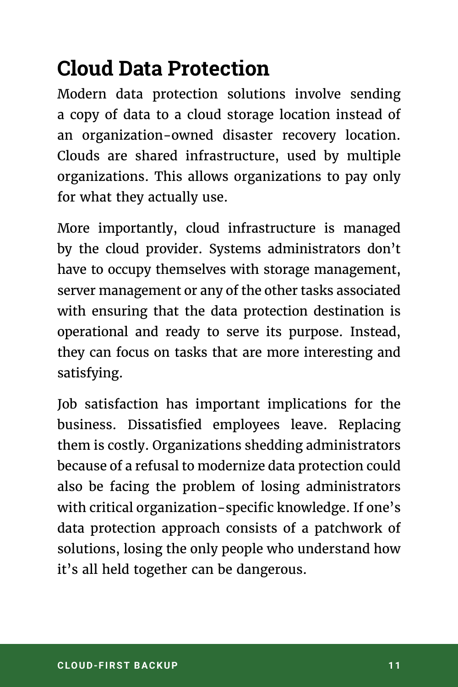## <span id="page-10-0"></span>**Cloud Data Protection**

Modern data protection solutions involve sending a copy of data to a cloud storage location instead of an organization-owned disaster recovery location. Clouds are shared infrastructure, used by multiple organizations. This allows organizations to pay only for what they actually use.

More importantly, cloud infrastructure is managed by the cloud provider. Systems administrators don't have to occupy themselves with storage management, server management or any of the other tasks associated with ensuring that the data protection destination is operational and ready to serve its purpose. Instead, they can focus on tasks that are more interesting and satisfying.

Job satisfaction has important implications for the business. Dissatisfied employees leave. Replacing them is costly. Organizations shedding administrators because of a refusal to modernize data protection could also be facing the problem of losing administrators with critical organization-specific knowledge. If one's data protection approach consists of a patchwork of solutions, losing the only people who understand how it's all held together can be dangerous.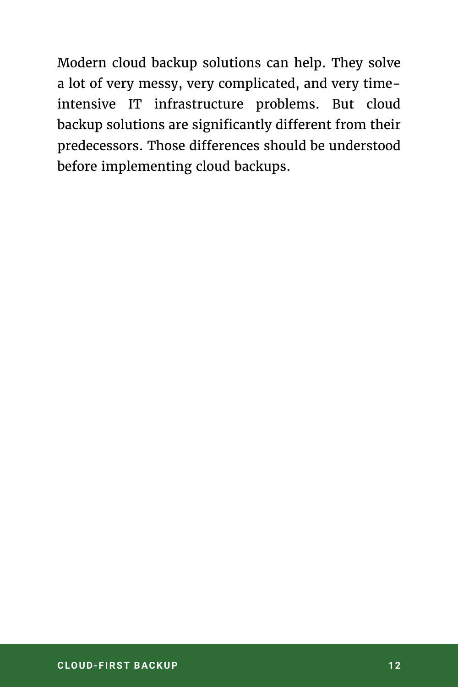Modern cloud backup solutions can help. They solve a lot of very messy, very complicated, and very timeintensive IT infrastructure problems. But cloud backup solutions are significantly different from their predecessors. Those differences should be understood before implementing cloud backups.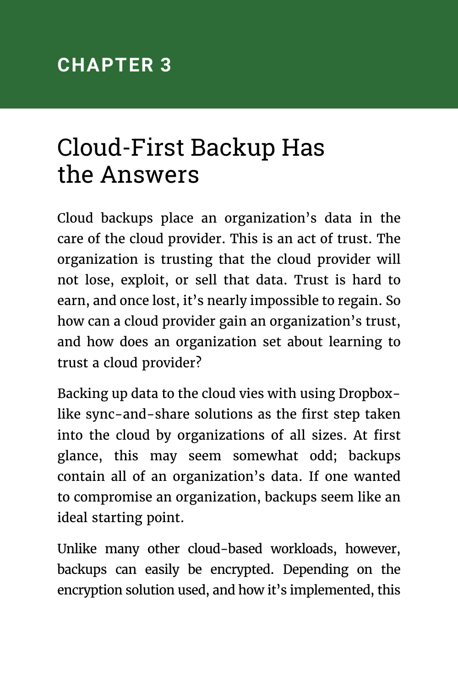# <span id="page-12-0"></span>Cloud-First Backup Has the Answers

Cloud backups place an organization's data in the care of the cloud provider. This is an act of trust. The organization is trusting that the cloud provider will not lose, exploit, or sell that data. Trust is hard to earn, and once lost, it's nearly impossible to regain. So how can a cloud provider gain an organization's trust, and how does an organization set about learning to trust a cloud provider?

Backing up data to the cloud vies with using Dropboxlike sync-and-share solutions as the first step taken into the cloud by organizations of all sizes. At first glance, this may seem somewhat odd; backups contain all of an organization's data. If one wanted to compromise an organization, backups seem like an ideal starting point.

Unlike many other cloud-based workloads, however, backups can easily be encrypted. Depending on the encryption solution used, and how it's implemented, this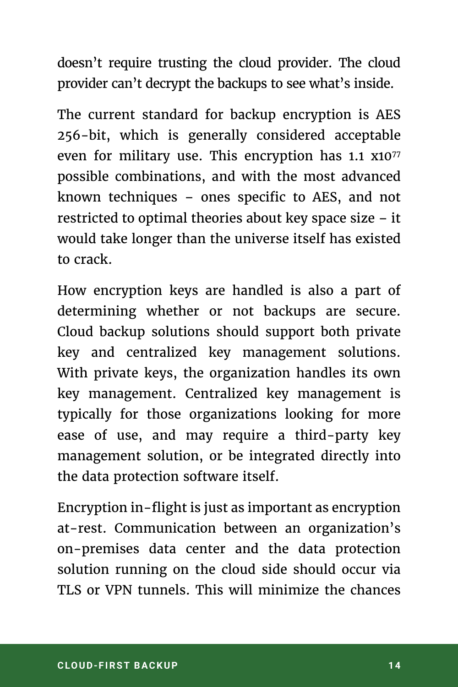doesn't require trusting the cloud provider. The cloud provider can't decrypt the backups to see what's inside.

The current standard for backup encryption is AES 256-bit, which is generally considered acceptable even for military use. This encryption has 1.1 x1077 possible combinations, and with the most advanced known techniques – ones specific to AES, and not restricted to optimal theories about key space size – it would take longer than the universe itself has existed to crack.

How encryption keys are handled is also a part of determining whether or not backups are secure. Cloud backup solutions should support both private key and centralized key management solutions. With private keys, the organization handles its own key management. Centralized key management is typically for those organizations looking for more ease of use, and may require a third-party key management solution, or be integrated directly into the data protection software itself.

Encryption in-flight is just as important as encryption at-rest. Communication between an organization's on-premises data center and the data protection solution running on the cloud side should occur via TLS or VPN tunnels. This will minimize the chances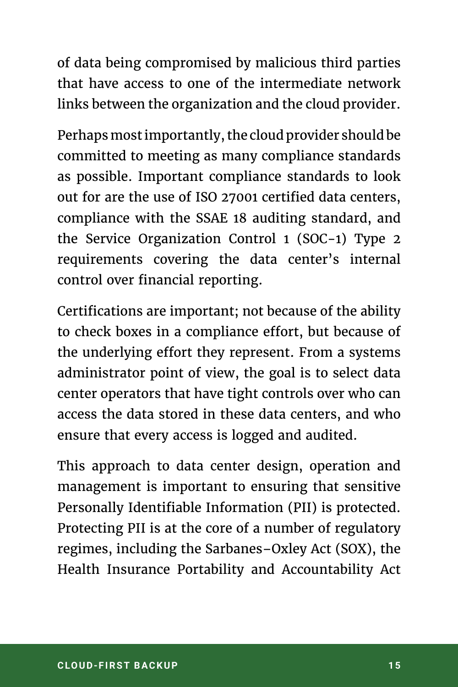of data being compromised by malicious third parties that have access to one of the intermediate network links between the organization and the cloud provider.

Perhaps most importantly, the cloud provider should be committed to meeting as many compliance standards as possible. Important compliance standards to look out for are the use of ISO 27001 certified data centers, compliance with the SSAE 18 auditing standard, and the Service Organization Control 1 (SOC-1) Type 2 requirements covering the data center's internal control over financial reporting.

Certifications are important; not because of the ability to check boxes in a compliance effort, but because of the underlying effort they represent. From a systems administrator point of view, the goal is to select data center operators that have tight controls over who can access the data stored in these data centers, and who ensure that every access is logged and audited.

This approach to data center design, operation and management is important to ensuring that sensitive Personally Identifiable Information (PII) is protected. Protecting PII is at the core of a number of regulatory regimes, including the Sarbanes–Oxley Act (SOX), the Health Insurance Portability and Accountability Act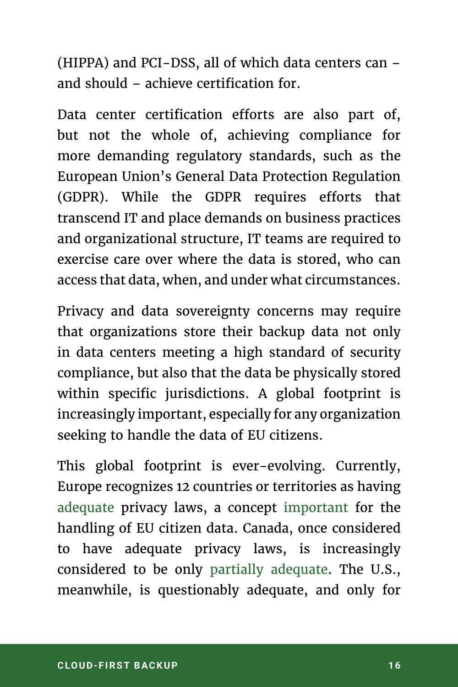(HIPPA) and PCI-DSS, all of which data centers can – and should – achieve certification for.

Data center certification efforts are also part of, but not the whole of, achieving compliance for more demanding regulatory standards, such as the European Union's General Data Protection Regulation (GDPR). While the GDPR requires efforts that transcend IT and place demands on business practices and organizational structure, IT teams are required to exercise care over where the data is stored, who can access that data, when, and under what circumstances.

Privacy and data sovereignty concerns may require that organizations store their backup data not only in data centers meeting a high standard of security compliance, but also that the data be physically stored within specific jurisdictions. A global footprint is increasingly important, especially for any organization seeking to handle the data of EU citizens.

This global footprint is ever-evolving. Currently, Europe recognizes 12 countries or territories as having [adequate](https://ec.europa.eu/info/law/law-topic/data-protection/data-transfers-outside-eu/adequacy-protection-personal-data-non-eu-countries_en) privacy laws, a concept [important](https://www.politico.eu/article/europe-data-protection-privacy-standards-gdpr-general-protection-data-regulation/) for the handling of EU citizen data. Canada, once considered to have adequate privacy laws, is increasingly considered to be only [partially adequate](https://www.theglobeandmail.com/report-on-business/industry-news/marketing/calls-grow-for-canada-to-modernize-privacy-laws-amid-eu-changes/article35778176/). The U.S., meanwhile, is questionably adequate, and only for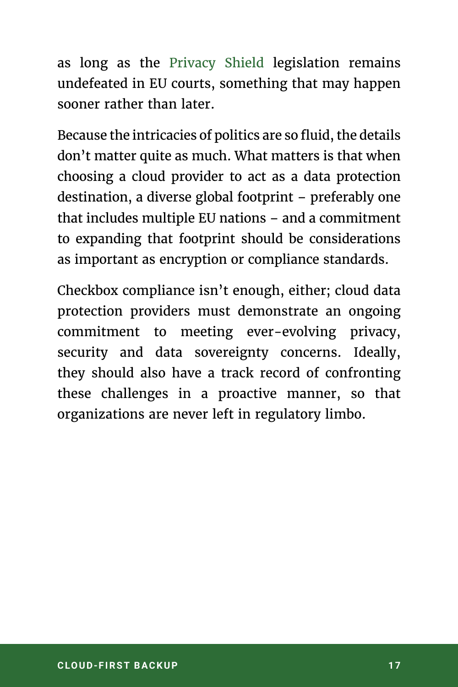as long as the [Privacy Shield](https://ec.europa.eu/info/law/law-topic/data-protection/data-transfers-outside-eu/eu-us-privacy-shield_en) legislation remains undefeated in EU courts, something that may happen sooner rather than later.

Because the intricacies of politics are so fluid, the details don't matter quite as much. What matters is that when choosing a cloud provider to act as a data protection destination, a diverse global footprint – preferably one that includes multiple EU nations – and a commitment to expanding that footprint should be considerations as important as encryption or compliance standards.

Checkbox compliance isn't enough, either; cloud data protection providers must demonstrate an ongoing commitment to meeting ever-evolving privacy, security and data sovereignty concerns. Ideally, they should also have a track record of confronting these challenges in a proactive manner, so that organizations are never left in regulatory limbo.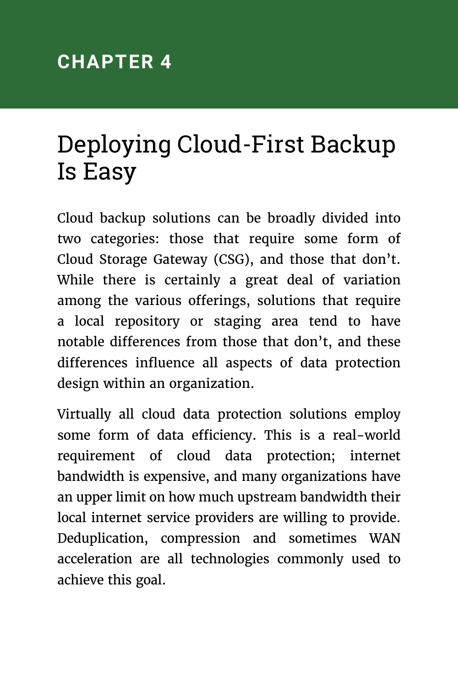# <span id="page-17-0"></span>Deploying Cloud-First Backup Is Easy

Cloud backup solutions can be broadly divided into two categories: those that require some form of Cloud Storage Gateway (CSG), and those that don't. While there is certainly a great deal of variation among the various offerings, solutions that require a local repository or staging area tend to have notable differences from those that don't, and these differences influence all aspects of data protection design within an organization.

Virtually all cloud data protection solutions employ some form of data efficiency. This is a real-world requirement of cloud data protection; internet bandwidth is expensive, and many organizations have an upper limit on how much upstream bandwidth their local internet service providers are willing to provide. Deduplication, compression and sometimes WAN acceleration are all technologies commonly used to achieve this goal.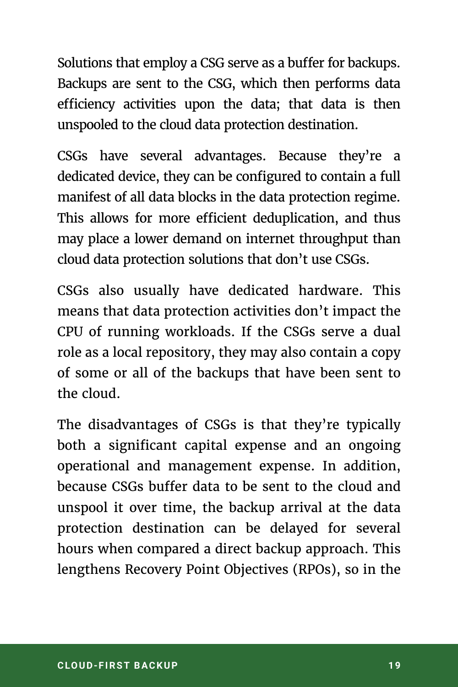Solutions that employ a CSG serve as a buffer for backups. Backups are sent to the CSG, which then performs data efficiency activities upon the data; that data is then unspooled to the cloud data protection destination.

CSGs have several advantages. Because they're a dedicated device, they can be configured to contain a full manifest of all data blocks in the data protection regime. This allows for more efficient deduplication, and thus may place a lower demand on internet throughput than cloud data protection solutions that don't use CSGs.

CSGs also usually have dedicated hardware. This means that data protection activities don't impact the CPU of running workloads. If the CSGs serve a dual role as a local repository, they may also contain a copy of some or all of the backups that have been sent to the cloud.

The disadvantages of CSGs is that they're typically both a significant capital expense and an ongoing operational and management expense. In addition, because CSGs buffer data to be sent to the cloud and unspool it over time, the backup arrival at the data protection destination can be delayed for several hours when compared a direct backup approach. This lengthens Recovery Point Objectives (RPOs), so in the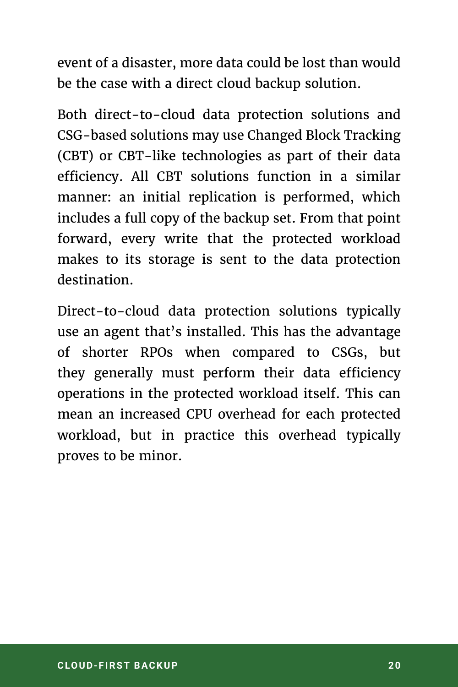event of a disaster, more data could be lost than would be the case with a direct cloud backup solution.

Both direct-to-cloud data protection solutions and CSG-based solutions may use Changed Block Tracking (CBT) or CBT-like technologies as part of their data efficiency. All CBT solutions function in a similar manner: an initial replication is performed, which includes a full copy of the backup set. From that point forward, every write that the protected workload makes to its storage is sent to the data protection destination.

Direct-to-cloud data protection solutions typically use an agent that's installed. This has the advantage of shorter RPOs when compared to CSGs, but they generally must perform their data efficiency operations in the protected workload itself. This can mean an increased CPU overhead for each protected workload, but in practice this overhead typically proves to be minor.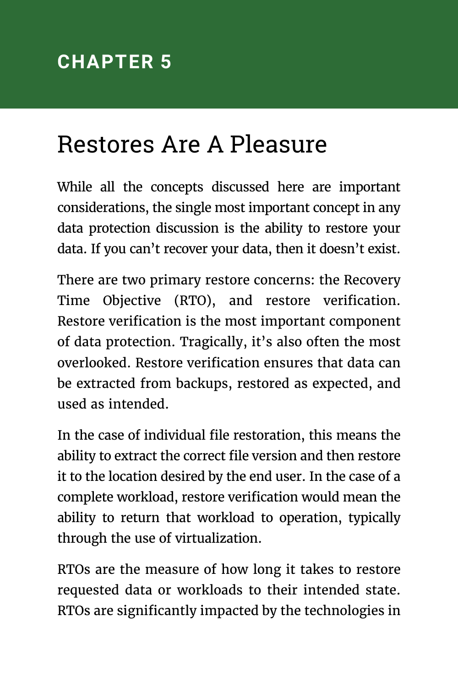# <span id="page-20-0"></span>Restores Are A Pleasure

While all the concepts discussed here are important considerations, the single most important concept in any data protection discussion is the ability to restore your data. If you can't recover your data, then it doesn't exist.

There are two primary restore concerns: the Recovery Time Objective (RTO), and restore verification. Restore verification is the most important component of data protection. Tragically, it's also often the most overlooked. Restore verification ensures that data can be extracted from backups, restored as expected, and used as intended.

In the case of individual file restoration, this means the ability to extract the correct file version and then restore it to the location desired by the end user. In the case of a complete workload, restore verification would mean the ability to return that workload to operation, typically through the use of virtualization.

RTOs are the measure of how long it takes to restore requested data or workloads to their intended state. RTOs are significantly impacted by the technologies in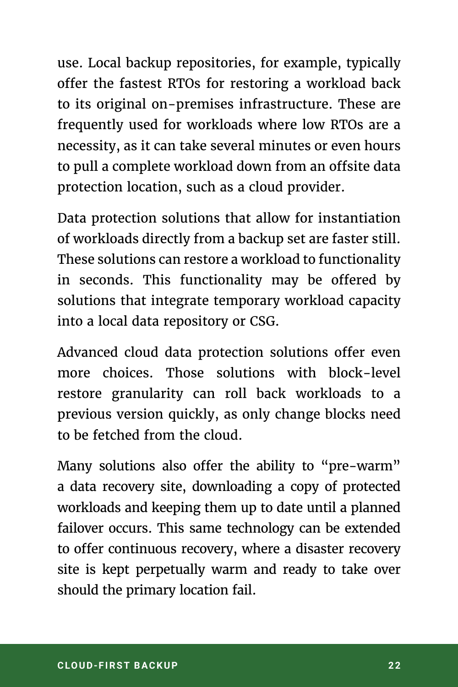use. Local backup repositories, for example, typically offer the fastest RTOs for restoring a workload back to its original on-premises infrastructure. These are frequently used for workloads where low RTOs are a necessity, as it can take several minutes or even hours to pull a complete workload down from an offsite data protection location, such as a cloud provider.

Data protection solutions that allow for instantiation of workloads directly from a backup set are faster still. These solutions can restore a workload to functionality in seconds. This functionality may be offered by solutions that integrate temporary workload capacity into a local data repository or CSG.

Advanced cloud data protection solutions offer even more choices. Those solutions with block-level restore granularity can roll back workloads to a previous version quickly, as only change blocks need to be fetched from the cloud.

Many solutions also offer the ability to "pre-warm" a data recovery site, downloading a copy of protected workloads and keeping them up to date until a planned failover occurs. This same technology can be extended to offer continuous recovery, where a disaster recovery site is kept perpetually warm and ready to take over should the primary location fail.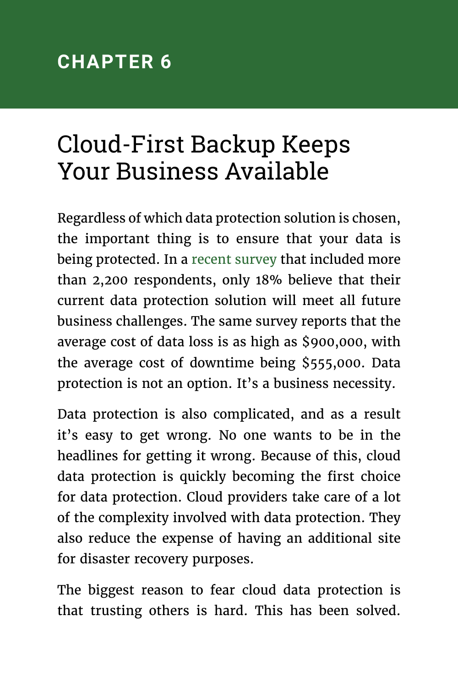# <span id="page-22-0"></span>Cloud-First Backup Keeps Your Business Available

Regardless of which data protection solution is chosen, the important thing is to ensure that your data is being protected. In a [recent survey](https://www.emc.com/collateral/presentation/emc-dpi-key-findings-global.pdf) that included more than 2,200 respondents, only 18% believe that their current data protection solution will meet all future business challenges. The same survey reports that the average cost of data loss is as high as \$900,000, with the average cost of downtime being \$555,000. Data protection is not an option. It's a business necessity.

Data protection is also complicated, and as a result it's easy to get wrong. No one wants to be in the headlines for getting it wrong. Because of this, cloud data protection is quickly becoming the first choice for data protection. Cloud providers take care of a lot of the complexity involved with data protection. They also reduce the expense of having an additional site for disaster recovery purposes.

The biggest reason to fear cloud data protection is that trusting others is hard. This has been solved.